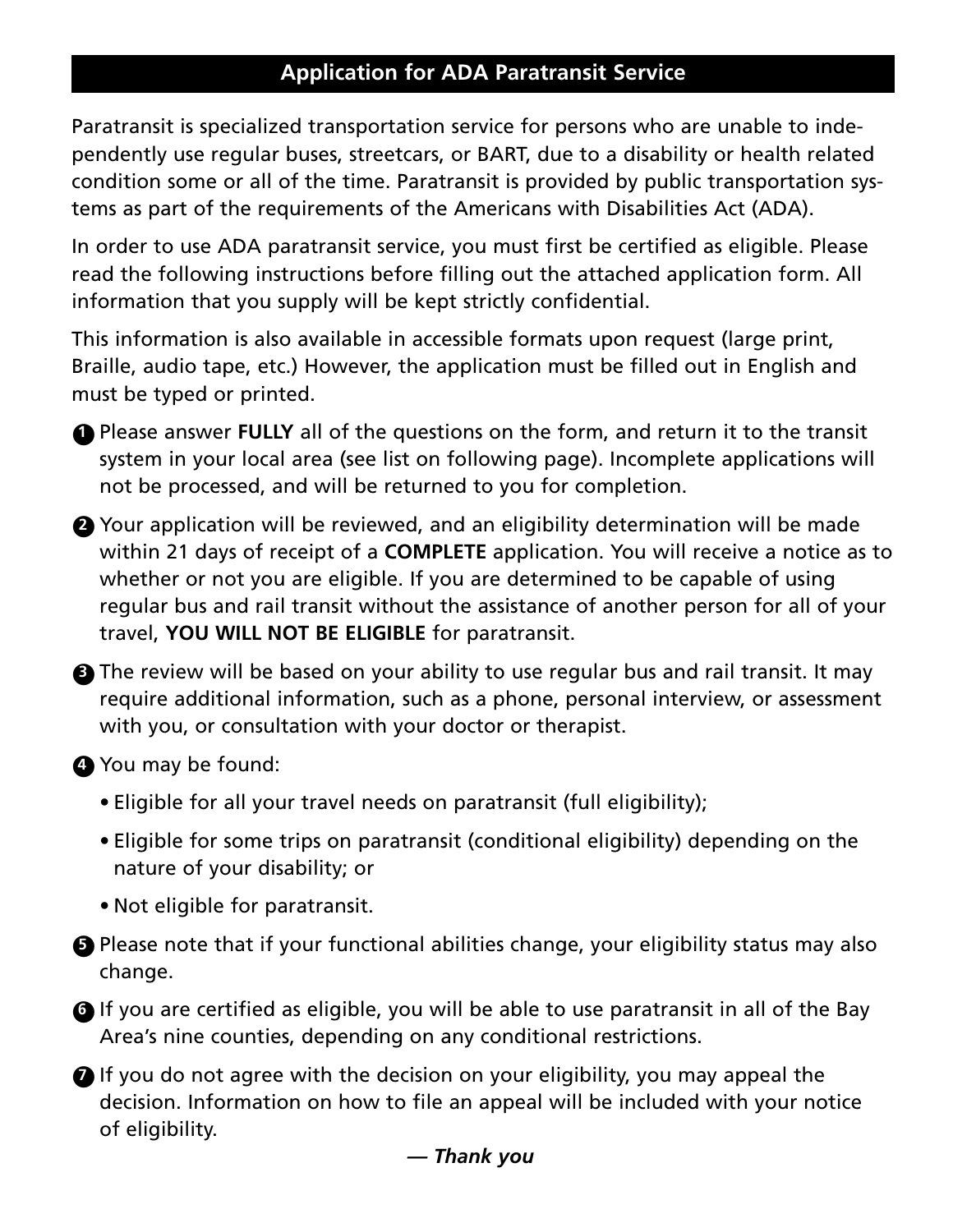### **Application for ADA Paratransit Service**

Paratransit is specialized transportation service for persons who are unable to independently use regular buses, streetcars, or BART, due to a disability or health related condition some or all of the time. Paratransit is provided by public transportation systems as part of the requirements of the Americans with Disabilities Act (ADA).

In order to use ADA paratransit service, you must first be certified as eligible. Please read the following instructions before filling out the attached application form. All information that you supply will be kept strictly confidential.

This information is also available in accessible formats upon request (large print, Braille, audio tape, etc.) However, the application must be filled out in English and must be typed or printed.

**1** Please answer **FULLY** all of the questions on the form, and return it to the transit system in your local area (see list on following page). Incomplete applications will not be processed, and will be returned to you for completion.

**2** Your application will be reviewed, and an eligibility determination will be made within 21 days of receipt of a **COMPLETE** application. You will receive a notice as to whether or not you are eligible. If you are determined to be capable of using regular bus and rail transit without the assistance of another person for all of your travel, **YOU WILL NOT BE ELIGIBLE** for paratransit.

**3** The review will be based on your ability to use regular bus and rail transit. It may require additional information, such as a phone, personal interview, or assessment with you, or consultation with your doctor or therapist.

#### ●**<sup>4</sup>** You may be found:

- Eligible for all your travel needs on paratransit (full eligibility);
- Eligible for some trips on paratransit (conditional eligibility) depending on the nature of your disability; or
- Not eligible for paratransit.
- **5** Please note that if your functional abilities change, your eligibility status may also change.

**<sup>6</sup>** If you are certified as eligible, you will be able to use paratransit in all of the Bay Area's nine counties, depending on any conditional restrictions.

 $\bullet$  If you do not agree with the decision on your eligibility, you may appeal the decision. Information on how to file an appeal will be included with your notice of eligibility.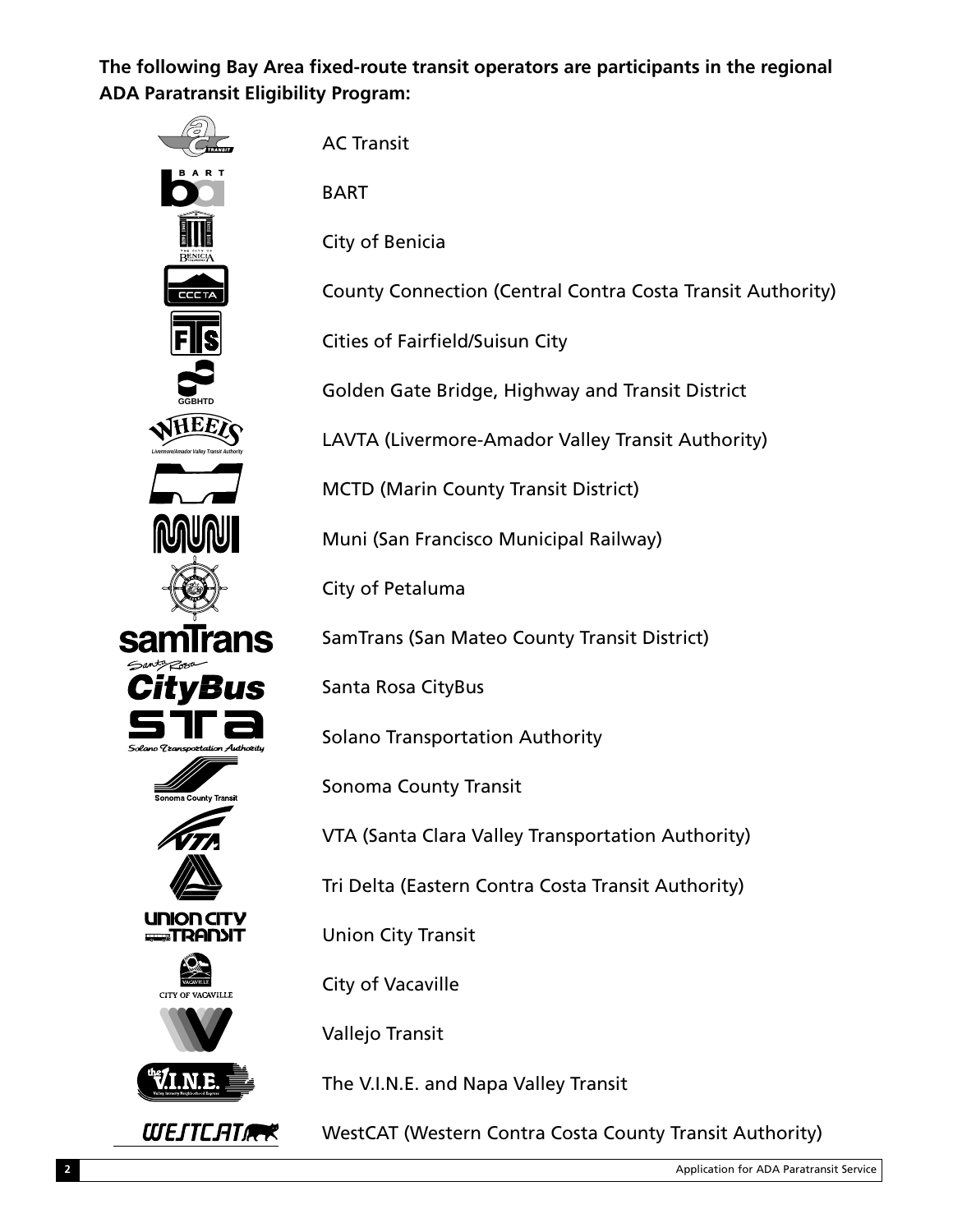**The following Bay Area fixed-route transit operators are participants in the regional ADA Paratransit Eligibility Program:**



BART

City of Benicia

County Connection (Central Contra Costa Transit Authority)

Cities of Fairfield/Suisun City

Golden Gate Bridge, Highway and Transit District

LAVTA (Livermore-Amador Valley Transit Authority)

MCTD (Marin County Transit District)

Muni (San Francisco Municipal Railway)

City of Petaluma

SamTrans (San Mateo County Transit District)

Santa Rosa CityBus

Solano Transportation Authority

Sonoma County Transit

VTA (Santa Clara Valley Transportation Authority)

Tri Delta (Eastern Contra Costa Transit Authority)

Union City Transit

City of Vacaville

Vallejo Transit

The V.I.N.E. and Napa Valley Transit

WestCAT (Western Contra Costa County Transit Authority)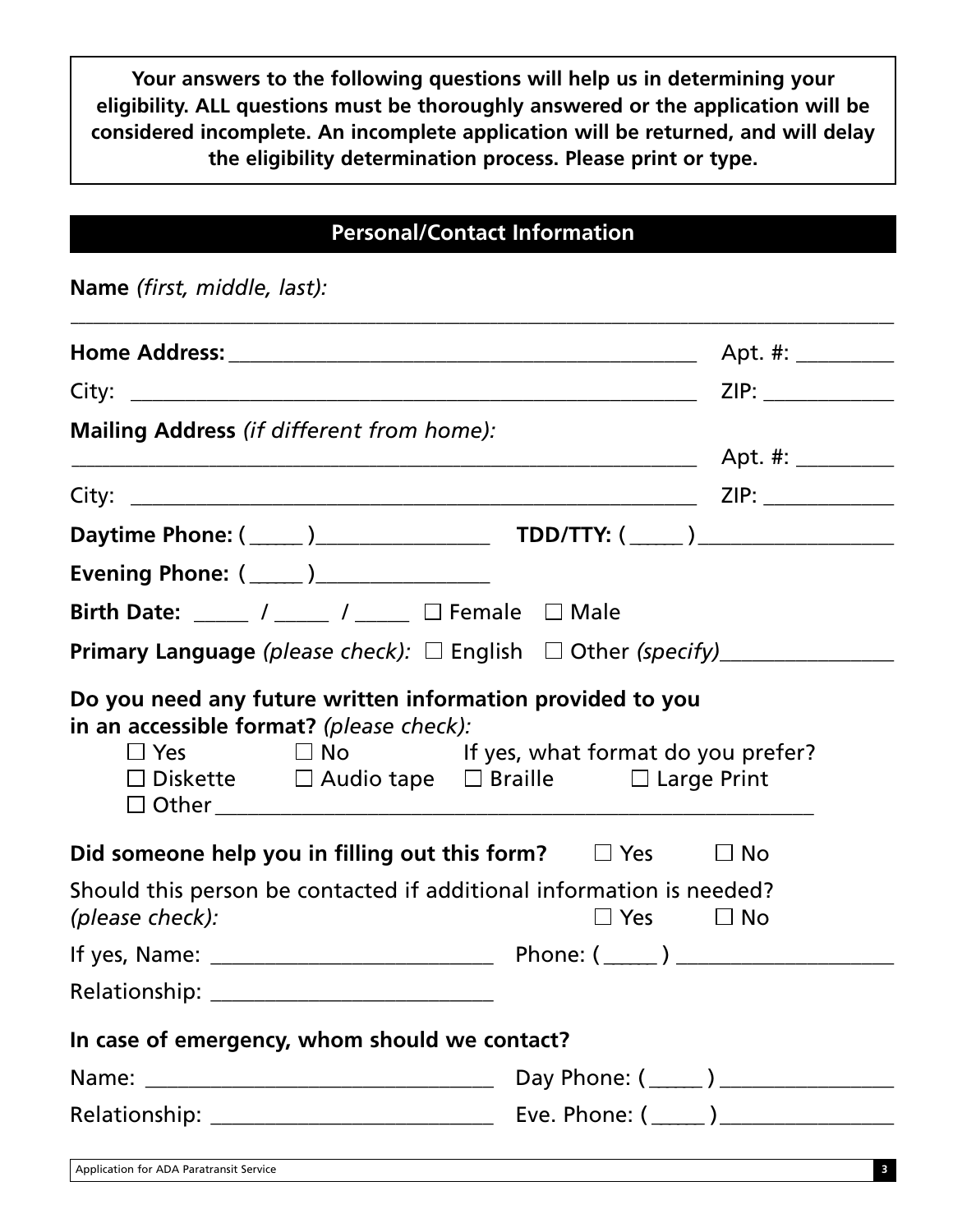**Your answers to the following questions will help us in determining your eligibility. ALL questions must be thoroughly answered or the application will be considered incomplete. An incomplete application will be returned, and will delay the eligibility determination process. Please print or type.**

### **Personal/Contact Information**

**Name** *(first, middle, last):*

| Mailing Address (if different from home):                                                                                      |                      |
|--------------------------------------------------------------------------------------------------------------------------------|----------------------|
|                                                                                                                                |                      |
|                                                                                                                                |                      |
|                                                                                                                                |                      |
|                                                                                                                                |                      |
| Birth Date: $\frac{1}{\sqrt{2\pi i}}$ / ______ / _____ $\Box$ Female $\Box$ Male                                               |                      |
| <b>Primary Language</b> (please check): $\Box$ English $\Box$ Other (specify) _____________                                    |                      |
| Do you need any future written information provided to you<br>in an accessible format? (please check):                         |                      |
| $\Box$ Yes $\Box$ No If yes, what format do you prefer?<br>$\Box$ Diskette $\Box$ Audio tape $\Box$ Braille $\Box$ Large Print |                      |
| Did someone help you in filling out this form? $\Box$ Yes                                                                      | $\Box$ No            |
| Should this person be contacted if additional information is needed?<br>(please check):                                        | $\Box$ Yes $\Box$ No |
|                                                                                                                                |                      |
|                                                                                                                                |                      |
| In case of emergency, whom should we contact?                                                                                  |                      |
|                                                                                                                                |                      |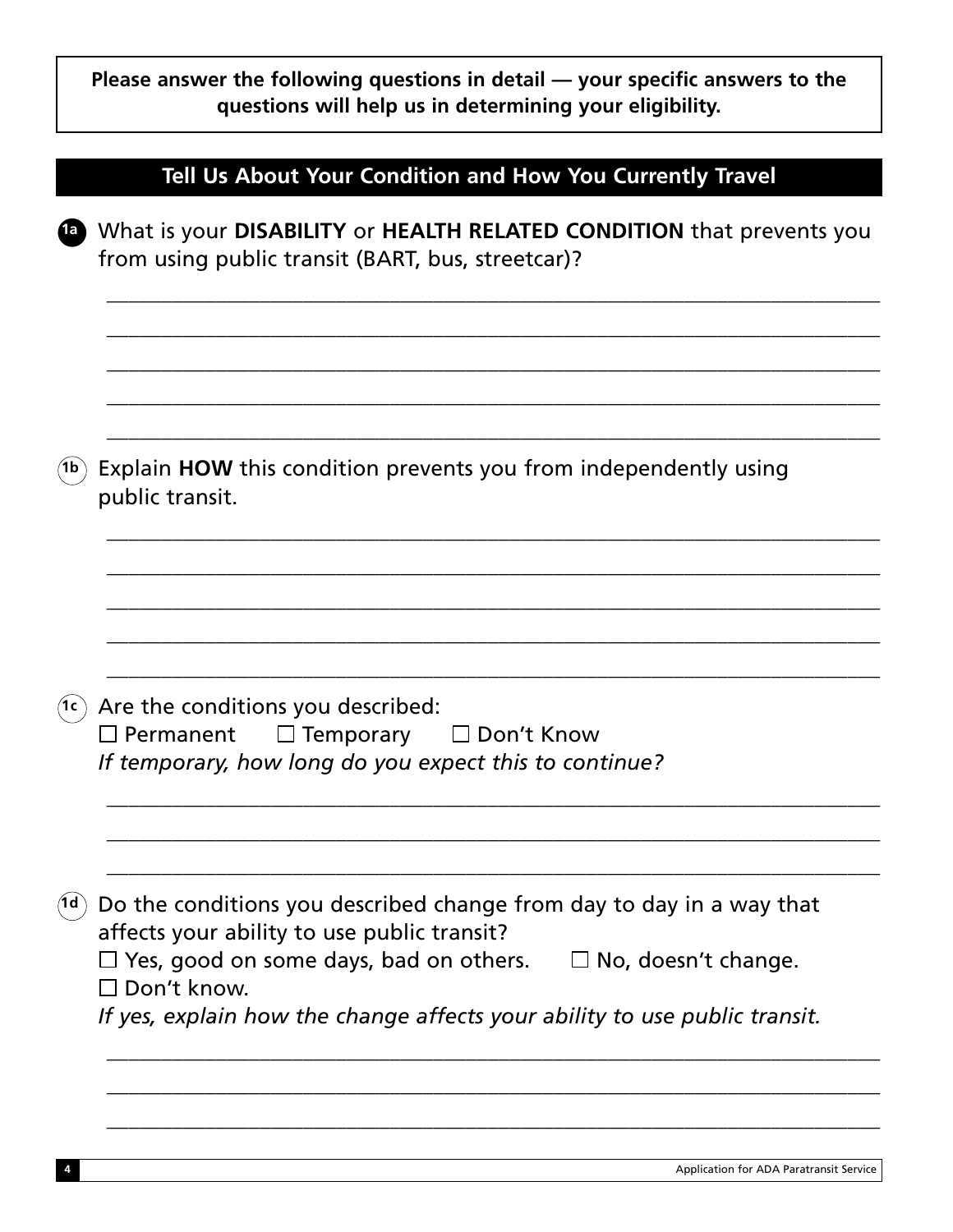|      | Please answer the following questions in detail — your specific answers to the<br>questions will help us in determining your eligibility.                                                                                                                                                       |
|------|-------------------------------------------------------------------------------------------------------------------------------------------------------------------------------------------------------------------------------------------------------------------------------------------------|
|      | Tell Us About Your Condition and How You Currently Travel                                                                                                                                                                                                                                       |
| (a)  | What is your DISABILITY or HEALTH RELATED CONDITION that prevents you<br>from using public transit (BART, bus, streetcar)?                                                                                                                                                                      |
| (1b) | Explain HOW this condition prevents you from independently using<br>public transit.                                                                                                                                                                                                             |
| (1c) | Are the conditions you described:<br>$\Box$ Permanent<br>$\Box$ Temporary<br>$\Box$ Don't Know<br>If temporary, how long do you expect this to continue?                                                                                                                                        |
| (1d) | Do the conditions you described change from day to day in a way that<br>affects your ability to use public transit?<br>Yes, good on some days, bad on others.<br>$\Box$ No, doesn't change.<br>$\Box$ Don't know.<br>If yes, explain how the change affects your ability to use public transit. |
|      |                                                                                                                                                                                                                                                                                                 |

Г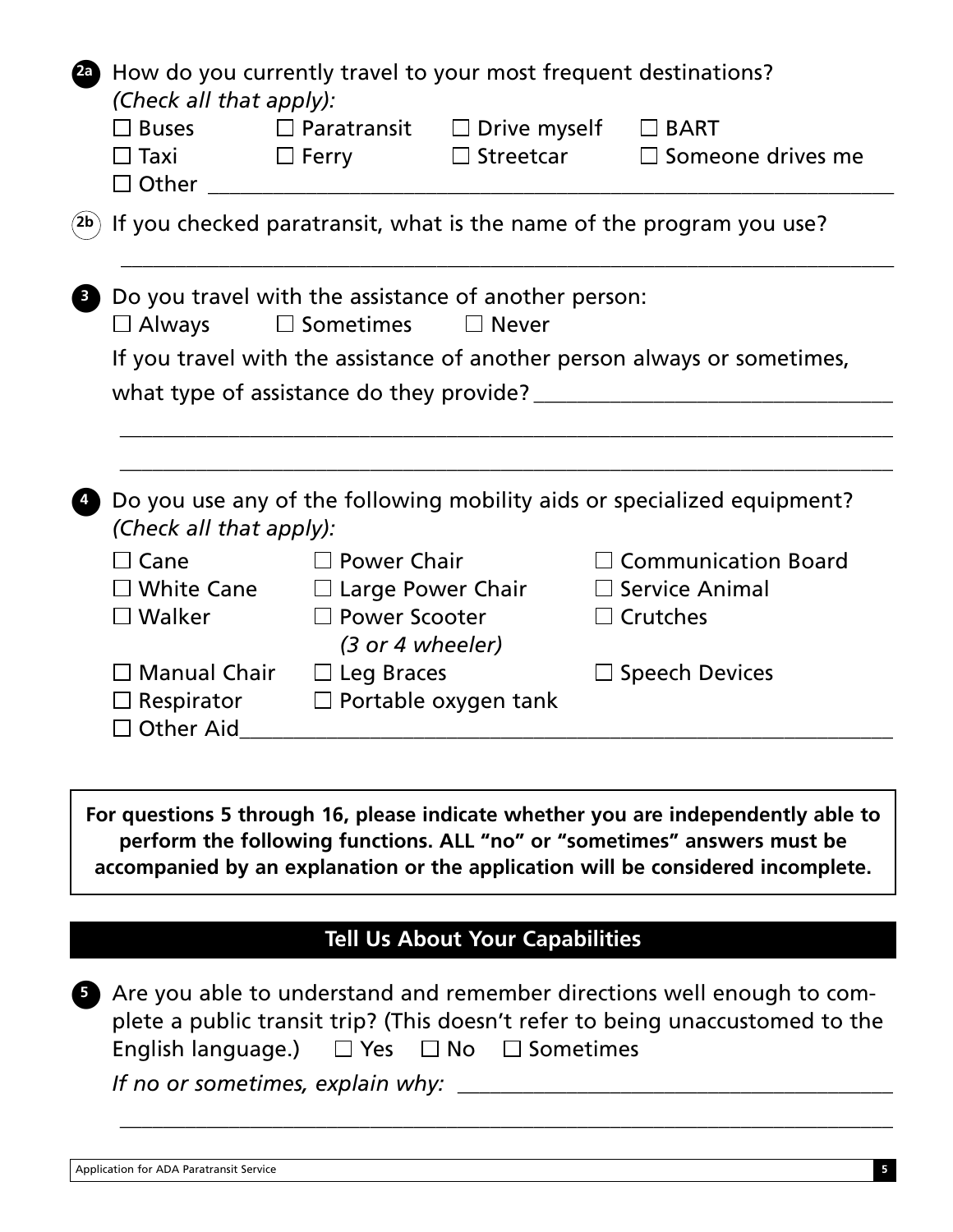| $\mathbf{2a}$           | How do you currently travel to your most frequent destinations?<br>(Check all that apply):<br>$\square$ Buses<br>$\square$ Taxi<br>$\square$ Other | $\Box$ Ferry                                     | $\Box$ Paratransit $\Box$ Drive myself<br>$\Box$ Streetcar | $\Box$ BART<br>$\Box$ Someone drives me                                                                                                                                                                                                          |
|-------------------------|----------------------------------------------------------------------------------------------------------------------------------------------------|--------------------------------------------------|------------------------------------------------------------|--------------------------------------------------------------------------------------------------------------------------------------------------------------------------------------------------------------------------------------------------|
| $\mathsf{(2b)}$         |                                                                                                                                                    |                                                  |                                                            | If you checked paratransit, what is the name of the program you use?                                                                                                                                                                             |
| $\overline{\mathbf{3}}$ | Do you travel with the assistance of another person:<br>$\Box$ Always                                                                              | $\Box$ Sometimes                                 | $\Box$ Never                                               |                                                                                                                                                                                                                                                  |
|                         | what type of assistance do they provide?                                                                                                           |                                                  |                                                            | If you travel with the assistance of another person always or sometimes,                                                                                                                                                                         |
|                         |                                                                                                                                                    |                                                  |                                                            |                                                                                                                                                                                                                                                  |
|                         |                                                                                                                                                    |                                                  |                                                            |                                                                                                                                                                                                                                                  |
|                         | (Check all that apply):                                                                                                                            |                                                  |                                                            | Do you use any of the following mobility aids or specialized equipment?                                                                                                                                                                          |
|                         | $\Box$ Cane                                                                                                                                        | $\square$ Power Chair                            |                                                            | $\Box$ Communication Board                                                                                                                                                                                                                       |
|                         | $\square$ White Cane                                                                                                                               | $\Box$ Large Power Chair                         |                                                            | $\Box$ Service Animal                                                                                                                                                                                                                            |
|                         | $\square$ Walker                                                                                                                                   | $\Box$ Power Scooter                             |                                                            | $\Box$ Crutches                                                                                                                                                                                                                                  |
|                         |                                                                                                                                                    | (3 or 4 wheeler)                                 |                                                            |                                                                                                                                                                                                                                                  |
|                         | $\Box$ Manual Chair<br>$\Box$ Respirator                                                                                                           | $\Box$ Leg Braces<br>$\Box$ Portable oxygen tank |                                                            | $\Box$ Speech Devices                                                                                                                                                                                                                            |
|                         | $\Box$ Other Aid                                                                                                                                   |                                                  |                                                            |                                                                                                                                                                                                                                                  |
|                         |                                                                                                                                                    |                                                  |                                                            |                                                                                                                                                                                                                                                  |
|                         |                                                                                                                                                    |                                                  |                                                            | For questions 5 through 16, please indicate whether you are independently able to<br>perform the following functions. ALL "no" or "sometimes" answers must be<br>accompanied by an explanation or the application will be considered incomplete. |

# **Tell Us About Your Capabilities**

**5** Are you able to understand and remember directions well enough to complete a public transit trip? (This doesn't refer to being unaccustomed to the English language.)  $\Box$  Yes  $\Box$  No  $\Box$  Sometimes *If no or sometimes, explain why:* \_\_\_\_\_\_\_\_\_\_\_\_\_\_\_\_\_\_\_\_\_\_\_\_\_\_\_\_\_\_\_\_\_\_\_\_\_\_\_\_

\_\_\_\_\_\_\_\_\_\_\_\_\_\_\_\_\_\_\_\_\_\_\_\_\_\_\_\_\_\_\_\_\_\_\_\_\_\_\_\_\_\_\_\_\_\_\_\_\_\_\_\_\_\_\_\_\_\_\_\_\_\_\_\_\_\_\_\_\_\_\_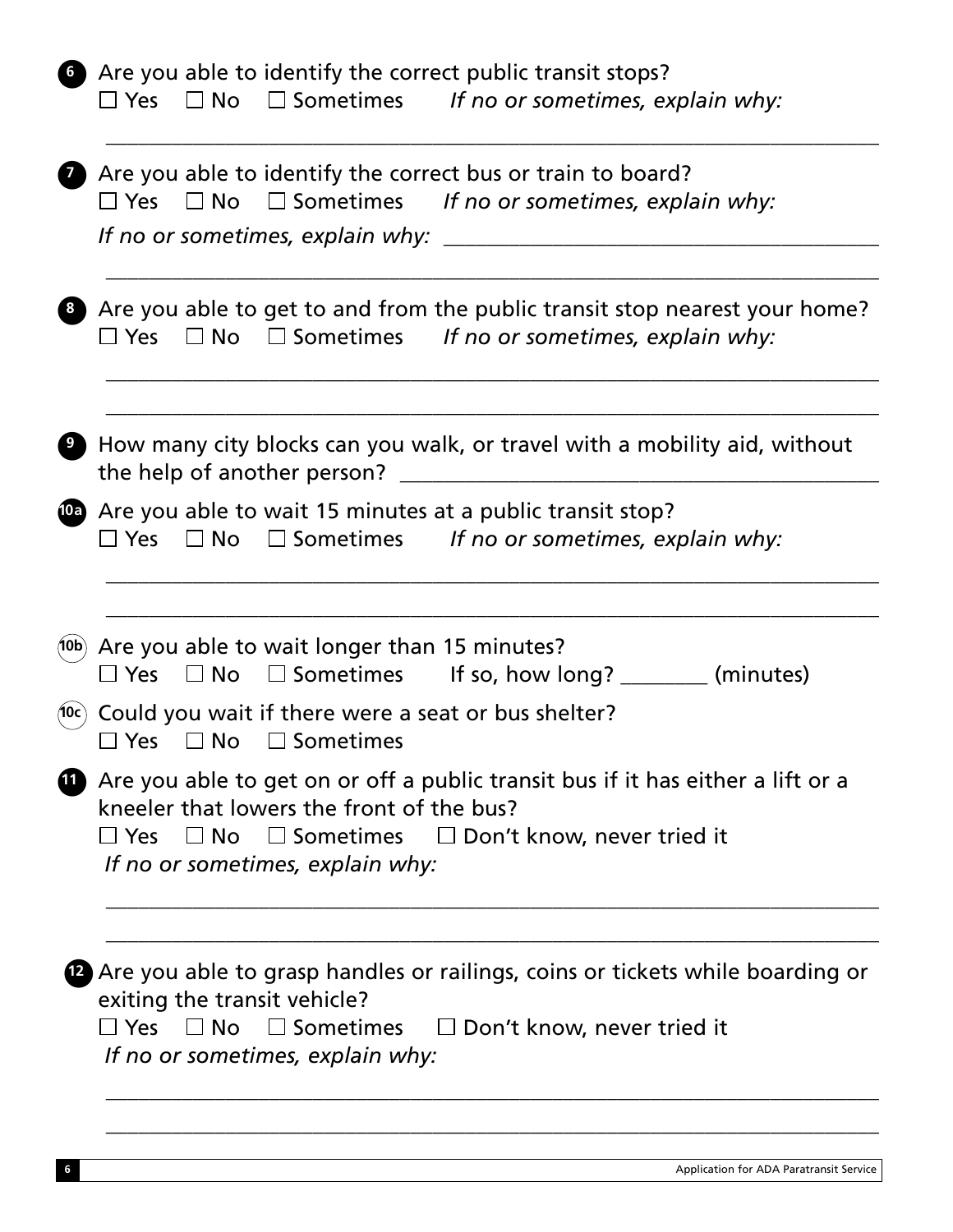| $\square$ Yes                    |           |                                                                               | <b>6</b> Are you able to identify the correct public transit stops?<br>$\Box$ No $\Box$ Sometimes If no or sometimes, explain why:                         |                                                                                         |
|----------------------------------|-----------|-------------------------------------------------------------------------------|------------------------------------------------------------------------------------------------------------------------------------------------------------|-----------------------------------------------------------------------------------------|
|                                  |           |                                                                               | Are you able to identify the correct bus or train to board?<br>$\Box$ Yes $\Box$ No $\Box$ Sometimes If no or sometimes, explain why:                      |                                                                                         |
| $\Box$ Yes                       |           |                                                                               | $\Box$ No $\Box$ Sometimes If no or sometimes, explain why:                                                                                                | <sup>8</sup> Are you able to get to and from the public transit stop nearest your home? |
|                                  |           |                                                                               |                                                                                                                                                            | How many city blocks can you walk, or travel with a mobility aid, without               |
|                                  |           |                                                                               | <b>Co</b> Are you able to wait 15 minutes at a public transit stop?<br>$\Box$ Yes $\Box$ No $\Box$ Sometimes If no or sometimes, explain why:              |                                                                                         |
|                                  |           | (10b) Are you able to wait longer than 15 minutes?                            | $\Box$ Yes $\Box$ No $\Box$ Sometimes If so, how long? ________ (minutes)                                                                                  |                                                                                         |
| (10c)<br>Yes                     | $\Box$ No | $\Box$ Sometimes                                                              | Could you wait if there were a seat or bus shelter?                                                                                                        |                                                                                         |
|                                  |           | kneeler that lowers the front of the bus?<br>If no or sometimes, explain why: | Are you able to get on or off a public transit bus if it has either a lift or a<br>$\Box$ Yes $\Box$ No $\Box$ Sometimes $\Box$ Don't know, never tried it |                                                                                         |
| If no or sometimes, explain why: |           | exiting the transit vehicle?                                                  | $\Box$ Yes $\Box$ No $\Box$ Sometimes $\Box$ Don't know, never tried it                                                                                    | <b>2</b> Are you able to grasp handles or railings, coins or tickets while boarding or  |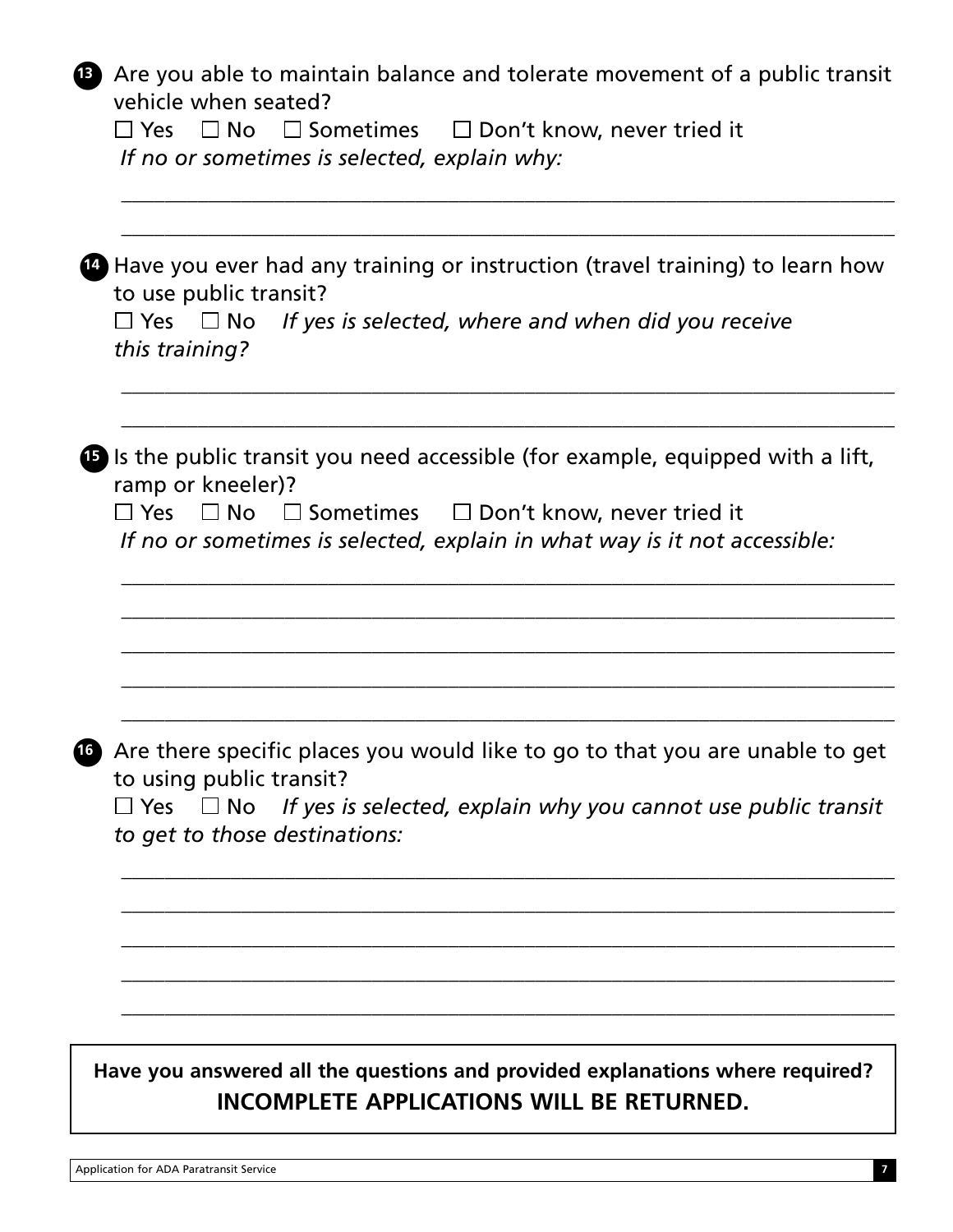| $\left( 13 \right)$ | Are you able to maintain balance and tolerate movement of a public transit<br>vehicle when seated?<br>$\Box$ No $\Box$ Sometimes $\Box$ Don't know, never tried it<br>$\Box$ Yes<br>If no or sometimes is selected, explain why:                                    |
|---------------------|---------------------------------------------------------------------------------------------------------------------------------------------------------------------------------------------------------------------------------------------------------------------|
|                     | <b>49</b> Have you ever had any training or instruction (travel training) to learn how<br>to use public transit?<br>$\Box$ Yes $\Box$ No If yes is selected, where and when did you receive<br>this training?                                                       |
|                     | <b>B</b> is the public transit you need accessible (for example, equipped with a lift,<br>ramp or kneeler)?<br>$\Box$ Yes $\Box$ No $\Box$ Sometimes $\Box$ Don't know, never tried it<br>If no or sometimes is selected, explain in what way is it not accessible: |
|                     | <b>13</b> Are there specific places you would like to go to that you are unable to get<br>to using public transit?<br>$\Box$ Yes $\Box$ No If yes is selected, explain why you cannot use public transit<br>to get to those destinations:                           |
|                     | Have you answered all the questions and provided explanations where required?<br>INCOMPLETE APPLICATIONS WILL BE RETURNED.                                                                                                                                          |

Application for ADA Paratransit Service **7**